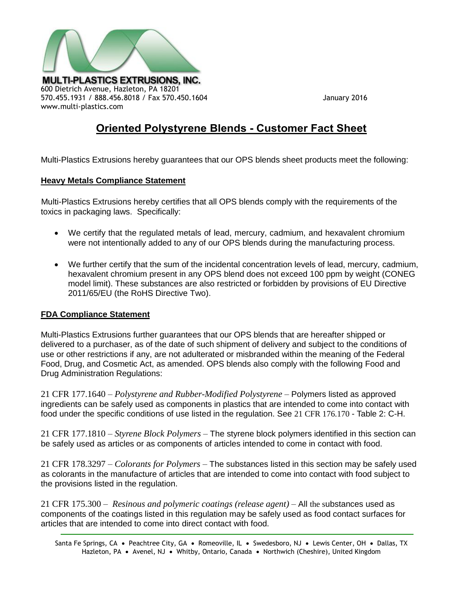

570.455.1931 / 888.456.8018 / Fax 570.450.1604 January 2016 www.multi-plastics.com

# **Oriented Polystyrene Blends - Customer Fact Sheet**

Multi-Plastics Extrusions hereby guarantees that our OPS blends sheet products meet the following:

# **Heavy Metals Compliance Statement**

Multi-Plastics Extrusions hereby certifies that all OPS blends comply with the requirements of the toxics in packaging laws. Specifically:

- We certify that the regulated metals of lead, mercury, cadmium, and hexavalent chromium were not intentionally added to any of our OPS blends during the manufacturing process.
- We further certify that the sum of the incidental concentration levels of lead, mercury, cadmium, hexavalent chromium present in any OPS blend does not exceed 100 ppm by weight (CONEG model limit). These substances are also restricted or forbidden by provisions of EU Directive 2011/65/EU (the RoHS Directive Two).

# **FDA Compliance Statement**

Multi-Plastics Extrusions further guarantees that our OPS blends that are hereafter shipped or delivered to a purchaser, as of the date of such shipment of delivery and subject to the conditions of use or other restrictions if any, are not adulterated or misbranded within the meaning of the Federal Food, Drug, and Cosmetic Act, as amended. OPS blends also comply with the following Food and Drug Administration Regulations:

21 CFR 177.1640 – *Polystyrene and Rubber-Modified Polystyrene* – Polymers listed as approved ingredients can be safely used as components in plastics that are intended to come into contact with food under the specific conditions of use listed in the regulation. See 21 CFR 176.170 - Table 2: C-H.

21 CFR 177.1810 – *Styrene Block Polymers* – The styrene block polymers identified in this section can be safely used as articles or as components of articles intended to come in contact with food.

21 CFR 178.3297 – *Colorants for Polymers* – The substances listed in this section may be safely used as colorants in the manufacture of articles that are intended to come into contact with food subject to the provisions listed in the regulation.

21 CFR 175.300 – *Resinous and polymeric coatings (release agent) –* All the substances used as components of the coatings listed in this regulation may be safely used as food contact surfaces for articles that are intended to come into direct contact with food.

Santa Fe Springs, CA • Peachtree City, GA • Romeoville, IL • Swedesboro, NJ • Lewis Center, OH • Dallas, TX Hazleton, PA · Avenel, NJ · Whitby, Ontario, Canada · Northwich (Cheshire), United Kingdom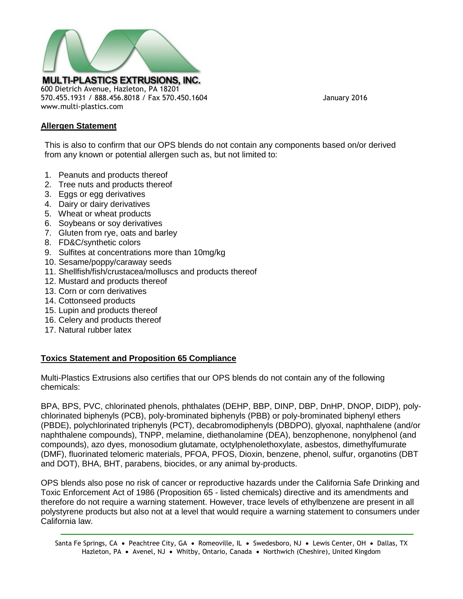

570.455.1931 / 888.456.8018 / Fax 570.450.1604 January 2016

## **Allergen Statement**

www.multi-plastics.com

This is also to confirm that our OPS blends do not contain any components based on/or derived from any known or potential allergen such as, but not limited to:

- 1. Peanuts and products thereof
- 2. Tree nuts and products thereof
- 3. Eggs or egg derivatives
- 4. Dairy or dairy derivatives
- 5. Wheat or wheat products
- 6. Soybeans or soy derivatives
- 7. Gluten from rye, oats and barley
- 8. FD&C/synthetic colors
- 9. Sulfites at concentrations more than 10mg/kg
- 10. Sesame/poppy/caraway seeds
- 11. Shellfish/fish/crustacea/molluscs and products thereof
- 12. Mustard and products thereof
- 13. Corn or corn derivatives
- 14. Cottonseed products
- 15. Lupin and products thereof
- 16. Celery and products thereof
- 17. Natural rubber latex

# **Toxics Statement and Proposition 65 Compliance**

Multi-Plastics Extrusions also certifies that our OPS blends do not contain any of the following chemicals:

BPA, BPS, PVC, chlorinated phenols, phthalates (DEHP, BBP, DINP, DBP, DnHP, DNOP, DIDP), polychlorinated biphenyls (PCB), poly-brominated biphenyls (PBB) or poly-brominated biphenyl ethers (PBDE), polychlorinated triphenyls (PCT), decabromodiphenyls (DBDPO), glyoxal, naphthalene (and/or naphthalene compounds), TNPP, melamine, diethanolamine (DEA), benzophenone, nonylphenol (and compounds), azo dyes, monosodium glutamate, octylphenolethoxylate, asbestos, dimethylfumurate (DMF), fluorinated telomeric materials, PFOA, PFOS, Dioxin, benzene, phenol, sulfur, organotins (DBT and DOT), BHA, BHT, parabens, biocides, or any animal by-products.

OPS blends also pose no risk of cancer or reproductive hazards under the California Safe Drinking and Toxic Enforcement Act of 1986 (Proposition 65 - listed chemicals) directive and its amendments and therefore do not require a warning statement. However, trace levels of ethylbenzene are present in all polystyrene products but also not at a level that would require a warning statement to consumers under California law.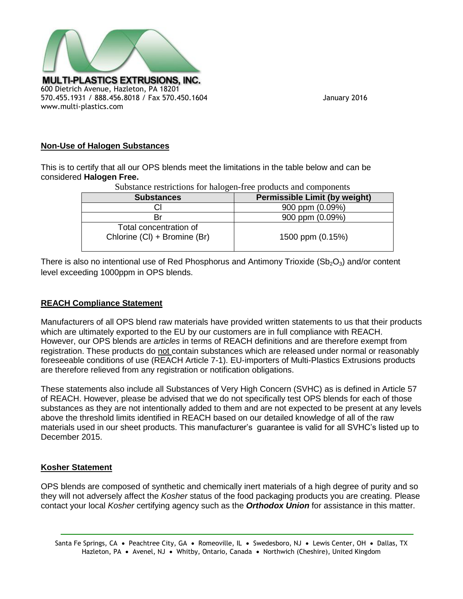

# **Non-Use of Halogen Substances**

This is to certify that all our OPS blends meet the limitations in the table below and can be considered **Halogen Free.**

Total concentration of

| Substance restrictions for hardgen-rice products and components |                                      |
|-----------------------------------------------------------------|--------------------------------------|
| <b>Substances</b>                                               | <b>Permissible Limit (by weight)</b> |
|                                                                 | 900 ppm (0.09%)                      |
| Вr                                                              | 900 ppm (0.09%)                      |

Substance restrictions for halogen-free products and components

Chlorine (Cl) + Bromine (Br) 1500 ppm (0.15%)

There is also no intentional use of Red Phosphorus and Antimony Trioxide  $(Sb<sub>2</sub>O<sub>3</sub>)$  and/or content level exceeding 1000ppm in OPS blends.

#### **REACH Compliance Statement**

Manufacturers of all OPS blend raw materials have provided written statements to us that their products which are ultimately exported to the EU by our customers are in full compliance with REACH. However, our OPS blends are *articles* in terms of REACH definitions and are therefore exempt from registration. These products do not contain substances which are released under normal or reasonably foreseeable conditions of use (REACH Article 7-1). EU-importers of Multi-Plastics Extrusions products are therefore relieved from any registration or notification obligations.

These statements also include all Substances of Very High Concern (SVHC) as is defined in Article 57 of REACH. However, please be advised that we do not specifically test OPS blends for each of those substances as they are not intentionally added to them and are not expected to be present at any levels above the threshold limits identified in REACH based on our detailed knowledge of all of the raw materials used in our sheet products. This manufacturer's guarantee is valid for all SVHC's listed up to December 2015.

# **Kosher Statement**

OPS blends are composed of synthetic and chemically inert materials of a high degree of purity and so they will not adversely affect the *Kosher* status of the food packaging products you are creating. Please contact your local *Kosher* certifying agency such as the *Orthodox Union* for assistance in this matter.